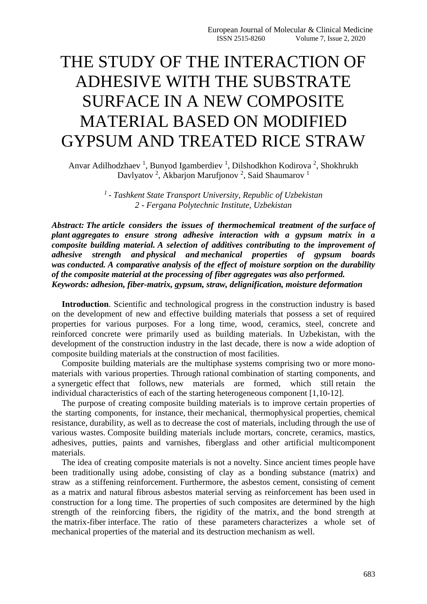## THE STUDY OF THE INTERACTION OF ADHESIVE WITH THE SUBSTRATE SURFACE IN A NEW COMPOSITE MATERIAL BASED ON MODIFIED GYPSUM AND TREATED RICE STRAW

Anvar Adilhodzhaev<sup>1</sup>, Bunyod Igamberdiev<sup>1</sup>, Dilshodkhon Kodirova<sup>2</sup>, Shokhrukh Davlyatov<sup>2</sup>, Akbarjon Marufjonov<sup>2</sup>, Said Shaumarov<sup>1</sup>

> *1 - Tashkent State Transport University, Republic of Uzbekistan 2 - Fergana Polytechnic Institute, Uzbekistan*

*Abstract: The article considers the issues of thermochemical treatment of the surface of plant aggregates to ensure strong adhesive interaction with a gypsum matrix in a composite building material. A selection of additives contributing to the improvement of adhesive strength and physical and mechanical properties of gypsum boards was conducted. A comparative analysis of the effect of moisture sorption on the durability of the composite material at the processing of fiber aggregates was also performed. Keywords: adhesion, fiber-matrix, gypsum, straw, delignification, moisture deformation*

**Introduction**. Scientific and technological progress in the construction industry is based on the development of new and effective building materials that possess a set of required properties for various purposes. For a long time, wood, ceramics, steel, concrete and reinforced concrete were primarily used as building materials. In Uzbekistan, with the development of the construction industry in the last decade, there is now a wide adoption of composite building materials at the construction of most facilities.

Composite building materials are the multiphase systems comprising two or more monomaterials with various properties. Through rational combination of starting components, and a synergetic effect that follows, new materials are formed, which still retain the individual characteristics of each of the starting heterogeneous component [1,10-12].

The purpose of creating composite building materials is to improve certain properties of the starting components, for instance, their mechanical, thermophysical properties, chemical resistance, durability, as well as to decrease the cost of materials, including through the use of various wastes. Composite building materials include mortars, concrete, ceramics, mastics, adhesives, putties, paints and varnishes, fiberglass and other artificial multicomponent materials.

The idea of creating composite materials is not a novelty. Since ancient times people have been traditionally using adobe, consisting of clay as a bonding substance (matrix) and straw as a stiffening reinforcement. Furthermore, the asbestos cement, consisting of cement as a matrix and natural fibrous asbestos material serving as reinforcement has been used in construction for a long time. The properties of such composites are determined by the high strength of the reinforcing fibers, the rigidity of the matrix, and the bond strength at the matrix-fiber interface. The ratio of these parameters characterizes a whole set of mechanical properties of the material and its destruction mechanism as well.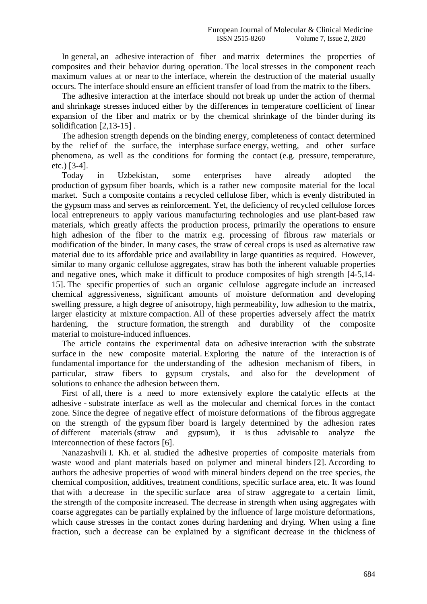In general, an adhesive interaction of fiber and matrix determines the properties of composites and their behavior during operation. The local stresses in the component reach maximum values at or near to the interface, wherein the destruction of the material usually occurs. The interface should ensure an efficient transfer of load from the matrix to the fibers.

The adhesive interaction at the interface should not break up under the action of thermal and shrinkage stresses induced either by the differences in temperature coefficient of linear expansion of the fiber and matrix or by the chemical shrinkage of the binder during its solidification [2,13-15] .

The adhesion strength depends on the binding energy, completeness of contact determined by the relief of the surface, the interphase surface energy, wetting, and other surface phenomena, as well as the conditions for forming the contact (e.g. pressure, temperature, etc.) [3-4].

Today in Uzbekistan, some enterprises have already adopted the production of gypsum fiber boards, which is a rather new composite material for the local market. Such a composite contains a recycled cellulose fiber, which is evenly distributed in the gypsum mass and serves as reinforcement. Yet, the deficiency of recycled cellulose forces local entrepreneurs to apply various manufacturing technologies and use plant-based raw materials, which greatly affects the production process, primarily the operations to ensure high adhesion of the fiber to the matrix e.g. processing of fibrous raw materials or modification of the binder. In many cases, the straw of cereal crops is used as alternative raw material due to its affordable price and availability in large quantities as required. However, similar to many organic cellulose aggregates, straw has both the inherent valuable properties and negative ones, which make it difficult to produce composites of high strength [4-5,14- 15]. The specific properties of such an organic cellulose aggregate include an increased chemical aggressiveness, significant amounts of moisture deformation and developing swelling pressure, a high degree of anisotropy, high permeability, low adhesion to the matrix, larger elasticity at mixture compaction. All of these properties adversely affect the matrix hardening, the structure formation, the strength and durability of the composite material to moisture-induced influences.

The article contains the experimental data on adhesive interaction with the substrate surface in the new composite material. Exploring the nature of the interaction is of fundamental importance for the understanding of the adhesion mechanism of fibers, in particular, straw fibers to gypsum crystals, and also for the development of solutions to enhance the adhesion between them.

First of all, there is a need to more extensively explore the catalytic effects at the adhesive - substrate interface as well as the molecular and chemical forces in the contact zone. Since the degree of negative effect of moisture deformations of the fibrous aggregate on the strength of the gypsum fiber board is largely determined by the adhesion rates of different materials (straw and gypsum), it is thus advisable to analyze the interconnection of these factors [6].

Nanazashvili I. Kh. et al. studied the adhesive properties of composite materials from waste wood and plant materials based on polymer and mineral binders [2]. According to authors the adhesive properties of wood with mineral binders depend on the tree species, the chemical composition, additives, treatment conditions, specific surface area, etc. It was found that with a decrease in the specific surface area of straw aggregate to a certain limit, the strength of the composite increased. The decrease in strength when using aggregates with coarse aggregates can be partially explained by the influence of large moisture deformations, which cause stresses in the contact zones during hardening and drying. When using a fine fraction, such a decrease can be explained by a significant decrease in the thickness of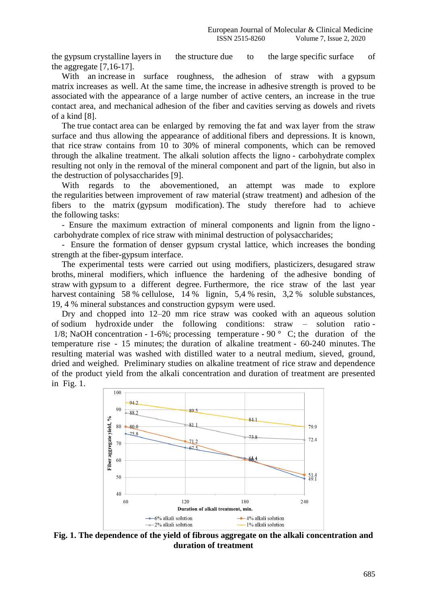the gypsum crystalline layers in the structure due to the large specific surface of the aggregate [7,16-17].

With an increase in surface roughness, the adhesion of straw with a gypsum matrix increases as well. At the same time, the increase in adhesive strength is proved to be associated with the appearance of a large number of active centers, an increase in the true contact area, and mechanical adhesion of the fiber and cavities serving as dowels and rivets of a kind [8].

The true contact area can be enlarged by removing the fat and wax layer from the straw surface and thus allowing the appearance of additional fibers and depressions. It is known, that rice straw contains from 10 to 30% of mineral components, which can be removed through the alkaline treatment. The alkali solution affects the ligno - carbohydrate complex resulting not only in the removal of the mineral component and part of the lignin, but also in the destruction of polysaccharides [9].

With regards to the abovementioned, an attempt was made to explore the regularities between improvement of raw material (straw treatment) and adhesion of the fibers to the matrix (gypsum modification). The study therefore had to achieve the following tasks:

- Ensure the maximum extraction of mineral components and lignin from the ligno carbohydrate complex of rice straw with minimal destruction of polysaccharides;

- Ensure the formation of denser gypsum crystal lattice, which increases the bonding strength at the fiber-gypsum interface.

The experimental tests were carried out using modifiers, plasticizers, desugared straw broths, mineral modifiers, which influence the hardening of the adhesive bonding of straw with gypsum to a different degree. Furthermore, the rice straw of the last year harvest containing 58 % cellulose, 14 % lignin, 5,4 % resin, 3,2 % soluble substances, 19, 4 % mineral substances and construction gypsym were used.

Dry and chopped into 12–20 mm rice straw was cooked with an aqueous solution of sodium hydroxide under the following conditions: straw – solution ratio - 1/8; NaOH concentration - 1-6%; processing temperature - 90 $\degree$  C; the duration of the temperature rise - 15 minutes; the duration of alkaline treatment - 60-240 minutes. The resulting material was washed with distilled water to a neutral medium, sieved, ground, dried and weighed. Preliminary studies on alkaline treatment of rice straw and dependence of the product yield from the alkali concentration and duration of treatment are presented in Fig. 1.



**Fig. 1. The dependence of the yield of fibrous aggregate on the alkali concentration and duration of treatment**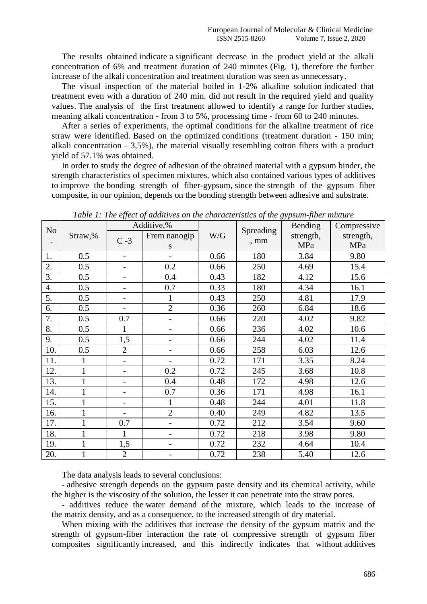The results obtained indicate a significant decrease in the product yield at the alkali concentration of 6% and treatment duration of 240 minutes (Fig. 1), therefore the further increase of the alkali concentration and treatment duration was seen as unnecessary.

The visual inspection of the material boiled in 1-2% alkaline solution indicated that treatment even with a duration of 240 min. did not result in the required yield and quality values. The analysis of the first treatment allowed to identify a range for further studies, meaning alkali concentration - from 3 to 5%, processing time - from 60 to 240 minutes.

After a series of experiments, the optimal conditions for the alkaline treatment of rice straw were identified. Based on the optimized conditions (treatment duration - 150 min; alkali concentration  $-3.5\%$ ), the material visually resembling cotton fibers with a product yield of 57.1% was obtained.

In order to study the degree of adhesion of the obtained material with a gypsum binder, the strength characteristics of specimen mixtures, which also contained various types of additives to improve the bonding strength of fiber-gypsum, since the strength of the gypsum fiber composite, in our opinion, depends on the bonding strength between adhesive and substrate.

| N <sub>0</sub> | Straw,%      | JJ<br>Additive,%         |                          |      | J                          | O/I<br>$\mathbf{v}$<br>Bending | Compressive |
|----------------|--------------|--------------------------|--------------------------|------|----------------------------|--------------------------------|-------------|
|                |              | $C - 3$                  | Frem nanogip             | W/G  | Spreading<br>$, \text{mm}$ | strength,                      | strength,   |
| $\bullet$      |              |                          | S                        |      |                            | MPa                            | MPa         |
| 1.             | 0.5          |                          |                          | 0.66 | 180                        | 3.84                           | 9.80        |
| 2.             | 0.5          | $\overline{\phantom{0}}$ | 0.2                      | 0.66 | 250                        | 4.69                           | 15.4        |
| 3.             | 0.5          | $\overline{\phantom{a}}$ | 0.4                      | 0.43 | 182                        | 4.12                           | 15.6        |
| 4.             | 0.5          | $\overline{\phantom{0}}$ | 0.7                      | 0.33 | 180                        | 4.34                           | 16.1        |
| 5.             | 0.5          | -                        | $\mathbf{1}$             | 0.43 | 250                        | 4.81                           | 17.9        |
| 6.             | 0.5          | $\overline{\phantom{a}}$ | $\overline{2}$           | 0.36 | 260                        | 6.84                           | 18.6        |
| 7.             | 0.5          | 0.7                      | $\overline{\phantom{0}}$ | 0.66 | 220                        | 4.02                           | 9.82        |
| 8.             | 0.5          | 1                        | $\overline{\phantom{a}}$ | 0.66 | 236                        | 4.02                           | 10.6        |
| 9.             | 0.5          | 1,5                      | $\overline{\phantom{0}}$ | 0.66 | 244                        | 4.02                           | 11.4        |
| 10.            | 0.5          | $\overline{2}$           |                          | 0.66 | 258                        | 6.03                           | 12.6        |
| 11.            | $\mathbf{1}$ | $\overline{\phantom{0}}$ | $\overline{\phantom{0}}$ | 0.72 | 171                        | 3.35                           | 8.24        |
| 12.            |              | $\overline{\phantom{a}}$ | 0.2                      | 0.72 | 245                        | 3.68                           | 10.8        |
| 13.            |              | $\overline{\phantom{0}}$ | 0.4                      | 0.48 | 172                        | 4.98                           | 12.6        |
| 14.            | 1            | -                        | 0.7                      | 0.36 | 171                        | 4.98                           | 16.1        |
| 15.            |              | -                        | 1                        | 0.48 | 244                        | 4.01                           | 11.8        |
| 16.            | 1            | $\overline{\phantom{0}}$ | $\overline{2}$           | 0.40 | 249                        | 4.82                           | 13.5        |
| 17.            |              | 0.7                      | $\overline{a}$           | 0.72 | 212                        | 3.54                           | 9.60        |
| 18.            |              | 1                        |                          | 0.72 | 218                        | 3.98                           | 9.80        |
| 19.            | 1            | 1,5                      |                          | 0.72 | 232                        | 4.64                           | 10.4        |
| 20.            |              | $\overline{2}$           | $\qquad \qquad -$        | 0.72 | 238                        | 5.40                           | 12.6        |

*Table 1: The effect of additives on the characteristics of the gypsum-fiber mixture*

The data analysis leads to several conclusions:

- adhesive strength depends on the gypsum paste density and its chemical activity, while the higher is the viscosity of the solution, the lesser it can penetrate into the straw pores.

- additives reduce the water demand of the mixture, which leads to the increase of the matrix density, and as a consequence, to the increased strength of dry material.

When mixing with the additives that increase the density of the gypsum matrix and the strength of gypsum-fiber interaction the rate of compressive strength of gypsum fiber composites significantly increased, and this indirectly indicates that without additives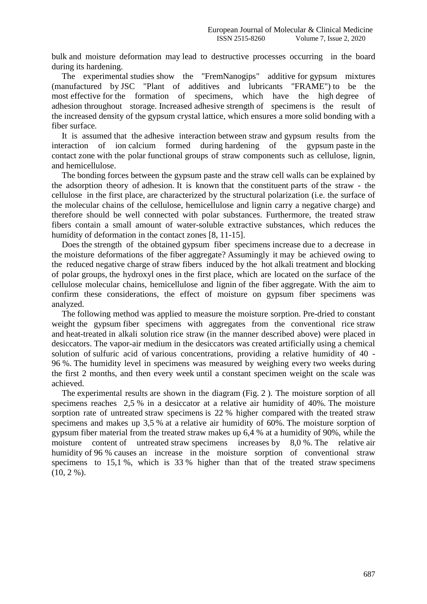bulk and moisture deformation may lead to destructive processes occurring in the board during its hardening.

The experimental studies show the "FremNanogips" additive for gypsum mixtures (manufactured by JSC "Plant of additives and lubricants "FRAME") to be the most effective for the formation of specimens, which have the high degree of adhesion throughout storage. Increased adhesive strength of specimens is the result of the increased density of the gypsum crystal lattice, which ensures a more solid bonding with a fiber surface.

It is assumed that the adhesive interaction between straw and gypsum results from the interaction of ion calcium formed during hardening of the gypsum paste in the contact zone with the polar functional groups of straw components such as cellulose, lignin, and hemicellulose.

The bonding forces between the gypsum paste and the straw cell walls can be explained by the adsorption theory of adhesion. It is known that the constituent parts of the straw - the cellulose in the first place, are characterized by the structural polarization (i.e. the surface of the molecular chains of the cellulose, hemicellulose and lignin carry a negative charge) and therefore should be well connected with polar substances. Furthermore, the treated straw fibers contain a small amount of water-soluble extractive substances, which reduces the humidity of deformation in the contact zones [8, 11-15].

Does the strength of the obtained gypsum fiber specimens increase due to a decrease in the moisture deformations of the fiber aggregate? Assumingly it may be achieved owing to the reduced negative charge of straw fibers induced by the hot alkali treatment and blocking of polar groups, the hydroxyl ones in the first place, which are located on the surface of the cellulose molecular chains, hemicellulose and lignin of the fiber aggregate. With the aim to confirm these considerations, the effect of moisture on gypsum fiber specimens was analyzed.

The following method was applied to measure the moisture sorption. Pre-dried to constant weight the gypsum fiber specimens with aggregates from the conventional rice straw and heat-treated in alkali solution rice straw (in the manner described above) were placed in desiccators. The vapor-air medium in the desiccators was created artificially using a chemical solution of sulfuric acid of various concentrations, providing a relative humidity of 40 - 96 %. The humidity level in specimens was measured by weighing every two weeks during the first 2 months, and then every week until a constant specimen weight on the scale was achieved.

The experimental results are shown in the diagram (Fig. 2 ). The moisture sorption of all specimens reaches 2,5 % in a desiccator at a relative air humidity of 40%. The moisture sorption rate of untreated straw specimens is 22 % higher compared with the treated straw specimens and makes up 3,5 % at a relative air humidity of 60%. The moisture sorption of gypsum fiber material from the treated straw makes up 6,4 % at a humidity of 90%, while the moisture content of untreated straw specimens increases by 8,0 %. The relative air humidity of 96 % causes an increase in the moisture sorption of conventional straw specimens to 15,1 %, which is 33 % higher than that of the treated straw specimens  $(10, 2\%)$ .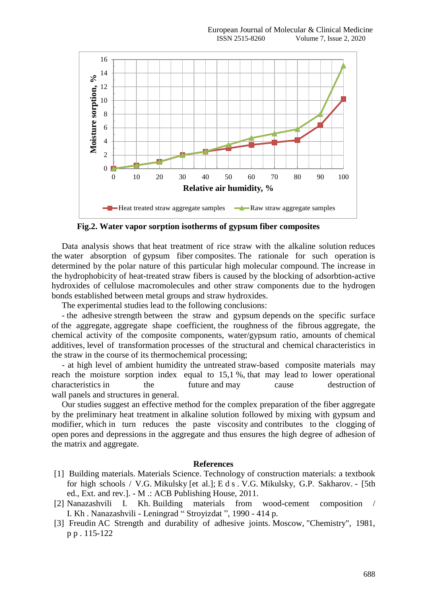

**Fig.2. Water vapor sorption isotherms of gypsum fiber composites**

Data analysis shows that heat treatment of rice straw with the alkaline solution reduces the water absorption of gypsum fiber composites. The rationale for such operation is determined by the polar nature of this particular high molecular compound. The increase in the hydrophobicity of heat-treated straw fibers is caused by the blocking of adsorbtion-active hydroxides of cellulose macromolecules and other straw components due to the hydrogen bonds established between metal groups and straw hydroxides.

The experimental studies lead to the following conclusions:

- the adhesive strength between the straw and gypsum depends on the specific surface of the aggregate, aggregate shape coefficient, the roughness of the fibrous aggregate, the chemical activity of the composite components, water/gypsum ratio, amounts of chemical additives, level of transformation processes of the structural and chemical characteristics in the straw in the course of its thermochemical processing;

- at high level of ambient humidity the untreated straw-based composite materials may reach the moisture sorption index equal to 15,1 %, that may lead to lower operational characteristics in the future and may cause destruction of wall panels and structures in general.

Our studies suggest an effective method for the complex preparation of the fiber aggregate by the preliminary heat treatment in alkaline solution followed by mixing with gypsum and modifier, which in turn reduces the paste viscosity and contributes to the clogging of open pores and depressions in the aggregate and thus ensures the high degree of adhesion of the matrix and aggregate.

## **References**

- [1] Building materials. Materials Science. Technology of construction materials: a textbook for high schools / V.G. Mikulsky [et al.]; E d s . V.G. Mikulsky, G.P. Sakharov. - [5th ed., Ext. and rev.]. - M .: ACB Publishing House, 2011.
- [2] Nanazashvili I. Kh. Building materials from wood-cement composition / I. Kh . Nanazashvili - Leningrad " Stroyizdat ", 1990 - 414 p.
- [3] Freudin AC Strength and durability of adhesive joints. Moscow, "Chemistry", 1981, p p . 115-122